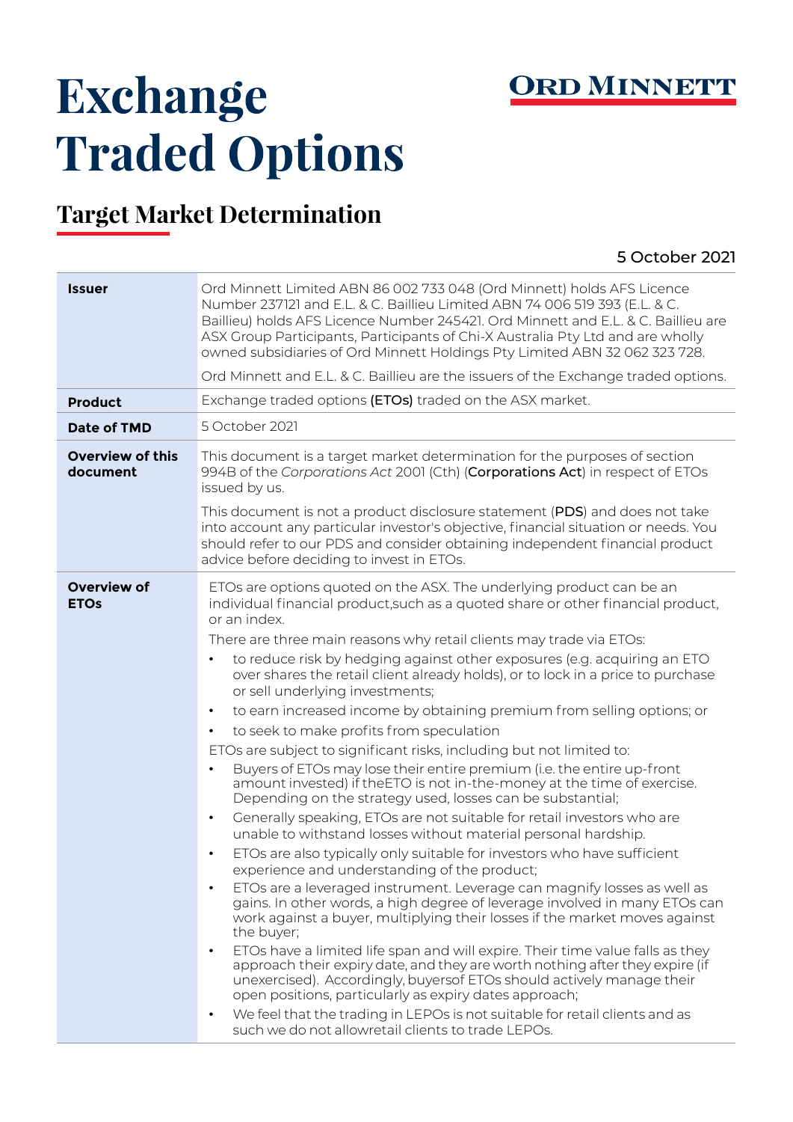

## Exchange **Traded Options**

## **Target Market Determination**

## 5 October 2021

| <b>Issuer</b>                       | Ord Minnett Limited ABN 86 002 733 048 (Ord Minnett) holds AFS Licence<br>Number 237121 and E.L. & C. Baillieu Limited ABN 74 006 519 393 (E.L. & C.<br>Baillieu) holds AFS Licence Number 245421. Ord Minnett and E.L. & C. Baillieu are<br>ASX Group Participants, Participants of Chi-X Australia Pty Ltd and are wholly<br>owned subsidiaries of Ord Minnett Holdings Pty Limited ABN 32 062 323 728.<br>Ord Minnett and E.L. & C. Baillieu are the issuers of the Exchange traded options.                                                                                                                                                                                                                                                                                                                                                                                                                                                                                                                                                                                                                                                                                                                                                                                                                                                                                                                                                                                                                                                                                                                                                                                                                                                                                                                                                                                                            |  |  |  |  |
|-------------------------------------|------------------------------------------------------------------------------------------------------------------------------------------------------------------------------------------------------------------------------------------------------------------------------------------------------------------------------------------------------------------------------------------------------------------------------------------------------------------------------------------------------------------------------------------------------------------------------------------------------------------------------------------------------------------------------------------------------------------------------------------------------------------------------------------------------------------------------------------------------------------------------------------------------------------------------------------------------------------------------------------------------------------------------------------------------------------------------------------------------------------------------------------------------------------------------------------------------------------------------------------------------------------------------------------------------------------------------------------------------------------------------------------------------------------------------------------------------------------------------------------------------------------------------------------------------------------------------------------------------------------------------------------------------------------------------------------------------------------------------------------------------------------------------------------------------------------------------------------------------------------------------------------------------------|--|--|--|--|
| <b>Product</b>                      | Exchange traded options (ETOs) traded on the ASX market.                                                                                                                                                                                                                                                                                                                                                                                                                                                                                                                                                                                                                                                                                                                                                                                                                                                                                                                                                                                                                                                                                                                                                                                                                                                                                                                                                                                                                                                                                                                                                                                                                                                                                                                                                                                                                                                   |  |  |  |  |
| Date of TMD                         | 5 October 2021                                                                                                                                                                                                                                                                                                                                                                                                                                                                                                                                                                                                                                                                                                                                                                                                                                                                                                                                                                                                                                                                                                                                                                                                                                                                                                                                                                                                                                                                                                                                                                                                                                                                                                                                                                                                                                                                                             |  |  |  |  |
| <b>Overview of this</b><br>document | This document is a target market determination for the purposes of section<br>994B of the Corporations Act 2001 (Cth) (Corporations Act) in respect of ETOs<br>issued by us.<br>This document is not a product disclosure statement (PDS) and does not take                                                                                                                                                                                                                                                                                                                                                                                                                                                                                                                                                                                                                                                                                                                                                                                                                                                                                                                                                                                                                                                                                                                                                                                                                                                                                                                                                                                                                                                                                                                                                                                                                                                |  |  |  |  |
|                                     | into account any particular investor's objective, financial situation or needs. You<br>should refer to our PDS and consider obtaining independent financial product<br>advice before deciding to invest in ETOs.                                                                                                                                                                                                                                                                                                                                                                                                                                                                                                                                                                                                                                                                                                                                                                                                                                                                                                                                                                                                                                                                                                                                                                                                                                                                                                                                                                                                                                                                                                                                                                                                                                                                                           |  |  |  |  |
| <b>Overview of</b><br><b>ETOs</b>   | ETOs are options quoted on the ASX. The underlying product can be an<br>individual financial product, such as a quoted share or other financial product,<br>or an index.<br>There are three main reasons why retail clients may trade via ETOs:<br>to reduce risk by hedging against other exposures (e.g. acquiring an ETO<br>over shares the retail client already holds), or to lock in a price to purchase<br>or sell underlying investments;<br>to earn increased income by obtaining premium from selling options; or<br>$\bullet$<br>to seek to make profits from speculation<br>ETOs are subject to significant risks, including but not limited to:<br>Buyers of ETOs may lose their entire premium (i.e. the entire up-front<br>amount invested) if the ETO is not in-the-money at the time of exercise.<br>Depending on the strategy used, losses can be substantial;<br>Generally speaking, ETOs are not suitable for retail investors who are<br>$\bullet$<br>unable to withstand losses without material personal hardship.<br>ETOs are also typically only suitable for investors who have sufficient<br>$\bullet$<br>experience and understanding of the product;<br>ETOs are a leveraged instrument. Leverage can magnify losses as well as<br>gains. In other words, a high degree of leverage involved in many ETOs can<br>work against a buyer, multiplying their losses if the market moves against<br>the buyer;<br>ETOs have a limited life span and will expire. Their time value falls as they<br>$\bullet$<br>approach their expiry date, and they are worth nothing after they expire (if<br>unexercised). Accordingly, buyers of ETOs should actively manage their<br>open positions, particularly as expiry dates approach;<br>We feel that the trading in LEPOs is not suitable for retail clients and as<br>$\bullet$<br>such we do not allowretail clients to trade LEPOs. |  |  |  |  |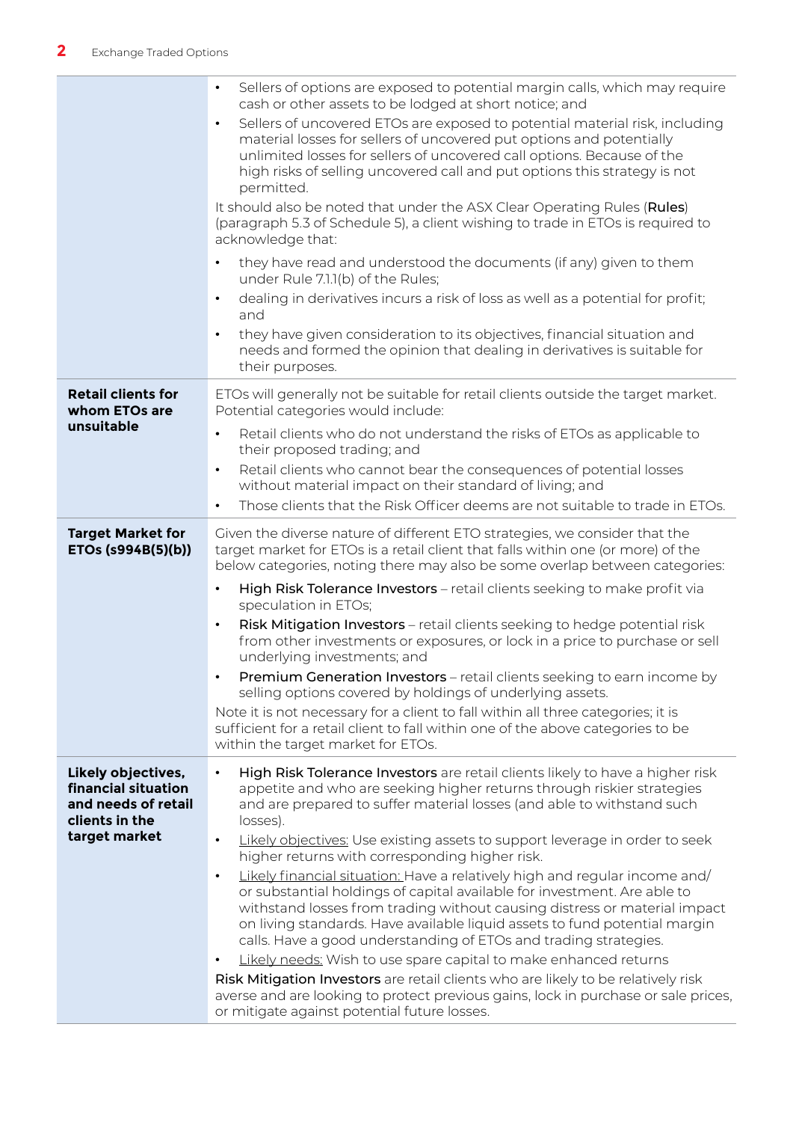|                                                                                                     | Sellers of options are exposed to potential margin calls, which may require<br>cash or other assets to be lodged at short notice; and                                                                                                                                                                                                                                                              |  |
|-----------------------------------------------------------------------------------------------------|----------------------------------------------------------------------------------------------------------------------------------------------------------------------------------------------------------------------------------------------------------------------------------------------------------------------------------------------------------------------------------------------------|--|
|                                                                                                     | Sellers of uncovered ETOs are exposed to potential material risk, including<br>$\bullet$<br>material losses for sellers of uncovered put options and potentially<br>unlimited losses for sellers of uncovered call options. Because of the<br>high risks of selling uncovered call and put options this strategy is not<br>permitted.                                                              |  |
|                                                                                                     | It should also be noted that under the ASX Clear Operating Rules (Rules)<br>(paragraph 5.3 of Schedule 5), a client wishing to trade in ETOs is required to<br>acknowledge that:                                                                                                                                                                                                                   |  |
|                                                                                                     | they have read and understood the documents (if any) given to them<br>$\bullet$<br>under Rule 7.1.1(b) of the Rules;<br>dealing in derivatives incurs a risk of loss as well as a potential for profit;<br>$\bullet$                                                                                                                                                                               |  |
|                                                                                                     | and                                                                                                                                                                                                                                                                                                                                                                                                |  |
|                                                                                                     | they have given consideration to its objectives, financial situation and<br>$\bullet$<br>needs and formed the opinion that dealing in derivatives is suitable for<br>their purposes.                                                                                                                                                                                                               |  |
| <b>Retail clients for</b><br>whom ETOs are<br>unsuitable                                            | ETOs will generally not be suitable for retail clients outside the target market.<br>Potential categories would include:                                                                                                                                                                                                                                                                           |  |
|                                                                                                     | Retail clients who do not understand the risks of ETOs as applicable to<br>$\bullet$<br>their proposed trading; and                                                                                                                                                                                                                                                                                |  |
|                                                                                                     | Retail clients who cannot bear the consequences of potential losses<br>$\bullet$<br>without material impact on their standard of living; and                                                                                                                                                                                                                                                       |  |
|                                                                                                     | Those clients that the Risk Officer deems are not suitable to trade in ETOs.<br>$\bullet$                                                                                                                                                                                                                                                                                                          |  |
| <b>Target Market for</b><br>ETOs (s994B(5)(b))                                                      | Given the diverse nature of different ETO strategies, we consider that the<br>target market for ETOs is a retail client that falls within one (or more) of the<br>below categories, noting there may also be some overlap between categories:                                                                                                                                                      |  |
|                                                                                                     | High Risk Tolerance Investors - retail clients seeking to make profit via<br>$\bullet$<br>speculation in ETOs;                                                                                                                                                                                                                                                                                     |  |
|                                                                                                     | Risk Mitigation Investors - retail clients seeking to hedge potential risk<br>$\bullet$<br>from other investments or exposures, or lock in a price to purchase or sell<br>underlying investments; and                                                                                                                                                                                              |  |
|                                                                                                     | Premium Generation Investors - retail clients seeking to earn income by<br>selling options covered by holdings of underlying assets.                                                                                                                                                                                                                                                               |  |
|                                                                                                     | Note it is not necessary for a client to fall within all three categories; it is<br>sufficient for a retail client to fall within one of the above categories to be<br>within the target market for ETOs.                                                                                                                                                                                          |  |
| Likely objectives,<br>financial situation<br>and needs of retail<br>clients in the<br>target market | High Risk Tolerance Investors are retail clients likely to have a higher risk<br>$\bullet$<br>appetite and who are seeking higher returns through riskier strategies<br>and are prepared to suffer material losses (and able to withstand such<br>losses).<br>Likely objectives: Use existing assets to support leverage in order to seek<br>$\bullet$                                             |  |
|                                                                                                     | higher returns with corresponding higher risk.                                                                                                                                                                                                                                                                                                                                                     |  |
|                                                                                                     | Likely financial situation: Have a relatively high and regular income and/<br>$\bullet$<br>or substantial holdings of capital available for investment. Are able to<br>withstand losses from trading without causing distress or material impact<br>on living standards. Have available liquid assets to fund potential margin<br>calls. Have a good understanding of ETOs and trading strategies. |  |
|                                                                                                     | Likely needs: Wish to use spare capital to make enhanced returns<br>$\bullet$                                                                                                                                                                                                                                                                                                                      |  |
|                                                                                                     | Risk Mitigation Investors are retail clients who are likely to be relatively risk<br>averse and are looking to protect previous gains, lock in purchase or sale prices,<br>or mitigate against potential future losses.                                                                                                                                                                            |  |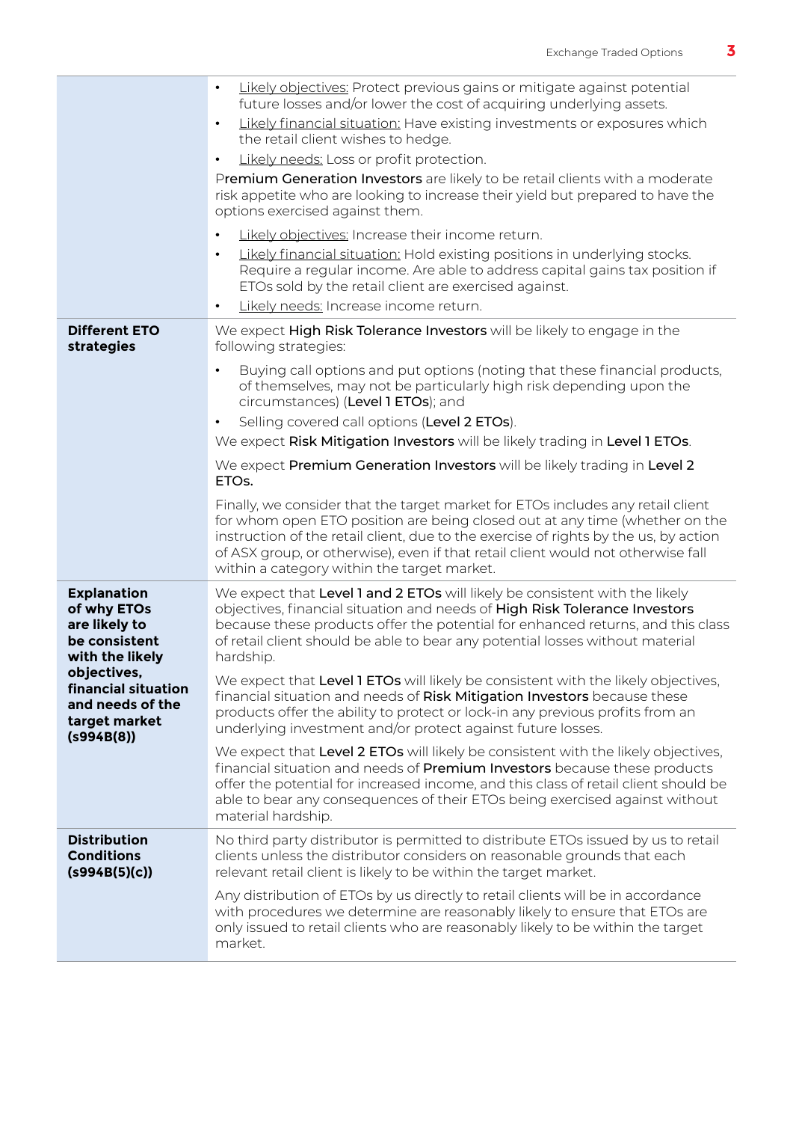|                                                                                        | Likely objectives: Protect previous gains or mitigate against potential<br>future losses and/or lower the cost of acquiring underlying assets.                                                                                                                                                                                                                                            |  |  |  |  |
|----------------------------------------------------------------------------------------|-------------------------------------------------------------------------------------------------------------------------------------------------------------------------------------------------------------------------------------------------------------------------------------------------------------------------------------------------------------------------------------------|--|--|--|--|
|                                                                                        | Likely financial situation: Have existing investments or exposures which<br>$\bullet$<br>the retail client wishes to hedge.                                                                                                                                                                                                                                                               |  |  |  |  |
|                                                                                        | Likely needs: Loss or profit protection.<br>$\bullet$                                                                                                                                                                                                                                                                                                                                     |  |  |  |  |
|                                                                                        | Premium Generation Investors are likely to be retail clients with a moderate<br>risk appetite who are looking to increase their yield but prepared to have the<br>options exercised against them.                                                                                                                                                                                         |  |  |  |  |
|                                                                                        | Likely objectives: Increase their income return.                                                                                                                                                                                                                                                                                                                                          |  |  |  |  |
|                                                                                        | Likely financial situation: Hold existing positions in underlying stocks.<br>Require a regular income. Are able to address capital gains tax position if<br>ETOs sold by the retail client are exercised against.                                                                                                                                                                         |  |  |  |  |
|                                                                                        | Likely needs: Increase income return.<br>$\bullet$                                                                                                                                                                                                                                                                                                                                        |  |  |  |  |
| <b>Different ETO</b><br>strategies                                                     | We expect High Risk Tolerance Investors will be likely to engage in the<br>following strategies:                                                                                                                                                                                                                                                                                          |  |  |  |  |
|                                                                                        | Buying call options and put options (noting that these financial products,<br>$\bullet$<br>of themselves, may not be particularly high risk depending upon the<br>circumstances) (Level 1 ETOs); and                                                                                                                                                                                      |  |  |  |  |
|                                                                                        | Selling covered call options (Level 2 ETOs).<br>$\bullet$                                                                                                                                                                                                                                                                                                                                 |  |  |  |  |
|                                                                                        | We expect Risk Mitigation Investors will be likely trading in Level 1 ETOs.                                                                                                                                                                                                                                                                                                               |  |  |  |  |
|                                                                                        | We expect Premium Generation Investors will be likely trading in Level 2<br>ETO <sub>s</sub> .                                                                                                                                                                                                                                                                                            |  |  |  |  |
|                                                                                        | Finally, we consider that the target market for ETOs includes any retail client<br>for whom open ETO position are being closed out at any time (whether on the<br>instruction of the retail client, due to the exercise of rights by the us, by action<br>of ASX group, or otherwise), even if that retail client would not otherwise fall<br>within a category within the target market. |  |  |  |  |
| <b>Explanation</b><br>of why ETOs<br>are likely to<br>be consistent<br>with the likely | We expect that Level 1 and 2 ETOs will likely be consistent with the likely<br>objectives, financial situation and needs of High Risk Tolerance Investors<br>because these products offer the potential for enhanced returns, and this class<br>of retail client should be able to bear any potential losses without material<br>hardship.                                                |  |  |  |  |
| objectives,<br>financial situation<br>and needs of the<br>target market<br>(s994B(8))  | We expect that Level 1 ETOs will likely be consistent with the likely objectives,<br>financial situation and needs of Risk Mitigation Investors because these<br>products offer the ability to protect or lock-in any previous profits from an<br>underlying investment and/or protect against future losses.                                                                             |  |  |  |  |
|                                                                                        | We expect that Level 2 ETOs will likely be consistent with the likely objectives,<br>financial situation and needs of Premium Investors because these products<br>offer the potential for increased income, and this class of retail client should be<br>able to bear any consequences of their ETOs being exercised against without<br>material hardship.                                |  |  |  |  |
| <b>Distribution</b><br><b>Conditions</b><br>(s994B(5)(c))                              | No third party distributor is permitted to distribute ETOs issued by us to retail<br>clients unless the distributor considers on reasonable grounds that each<br>relevant retail client is likely to be within the target market.                                                                                                                                                         |  |  |  |  |
|                                                                                        | Any distribution of ETOs by us directly to retail clients will be in accordance<br>with procedures we determine are reasonably likely to ensure that ETOs are<br>only issued to retail clients who are reasonably likely to be within the target<br>market.                                                                                                                               |  |  |  |  |